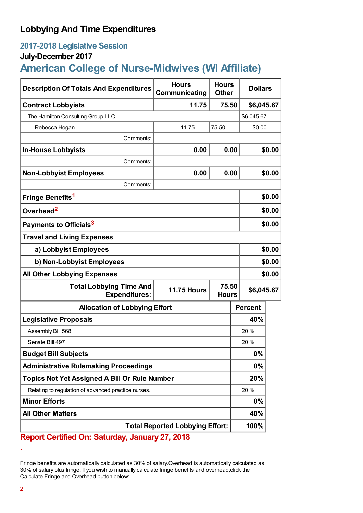## **Lobbying And Time Expenditures**

## **2017-2018 Legislative Session**

### **July-December 2017**

# **American College of Nurse-Midwives (WI Affiliate)**

| <b>Description Of Totals And Expenditures</b>          | <b>Hours</b><br>Communicating               | <b>Hours</b><br><b>Other</b> | <b>Dollars</b> |        |  |
|--------------------------------------------------------|---------------------------------------------|------------------------------|----------------|--------|--|
| <b>Contract Lobbyists</b>                              | 11.75                                       | 75.50                        | \$6,045.67     |        |  |
| The Hamilton Consulting Group LLC                      |                                             |                              | \$6,045.67     |        |  |
| Rebecca Hogan                                          | 11.75                                       | 75.50                        | \$0.00         |        |  |
| Comments:                                              |                                             |                              |                |        |  |
| <b>In-House Lobbyists</b>                              | 0.00                                        | 0.00                         |                | \$0.00 |  |
| Comments:                                              |                                             |                              |                |        |  |
| <b>Non-Lobbyist Employees</b>                          | 0.00                                        | 0.00                         |                | \$0.00 |  |
| Comments:                                              |                                             |                              |                |        |  |
| Fringe Benefits <sup>1</sup>                           |                                             |                              |                | \$0.00 |  |
| Overhead <sup>2</sup>                                  |                                             |                              | \$0.00         |        |  |
| Payments to Officials <sup>3</sup>                     |                                             |                              |                | \$0.00 |  |
| <b>Travel and Living Expenses</b>                      |                                             |                              |                |        |  |
| a) Lobbyist Employees                                  |                                             |                              |                | \$0.00 |  |
| b) Non-Lobbyist Employees                              |                                             |                              |                | \$0.00 |  |
| <b>All Other Lobbying Expenses</b>                     |                                             |                              |                | \$0.00 |  |
| <b>Total Lobbying Time And</b><br><b>Expenditures:</b> | 75.50<br><b>11.75 Hours</b><br><b>Hours</b> |                              | \$6,045.67     |        |  |
| <b>Allocation of Lobbying Effort</b>                   |                                             |                              | <b>Percent</b> |        |  |
| <b>Legislative Proposals</b>                           |                                             |                              | 40%            |        |  |
| Assembly Bill 568                                      |                                             |                              | 20 %           |        |  |
| Senate Bill 497                                        |                                             |                              | 20 %           |        |  |
| <b>Budget Bill Subjects</b>                            |                                             |                              | 0%             |        |  |
| <b>Administrative Rulemaking Proceedings</b>           |                                             |                              | 0%             |        |  |
| <b>Topics Not Yet Assigned A Bill Or Rule Number</b>   |                                             |                              | 20%            |        |  |
| Relating to regulation of advanced practice nurses.    |                                             |                              | 20 %           |        |  |
| <b>Minor Efforts</b>                                   |                                             |                              | $0\%$          |        |  |
| <b>All Other Matters</b>                               |                                             |                              | 40%            |        |  |
| <b>Total Reported Lobbying Effort:</b>                 |                                             |                              | 100%           |        |  |

## **Report Certified On: Saturday, January 27, 2018**

Fringe benefits are automatically calculated as 30% of salary.Overhead is automatically calculated as 30% of salary plus fringe. If you wish to manually calculate fringe benefits and overhead,click the Calculate Fringe and Overhead button below:

<sup>1.</sup>